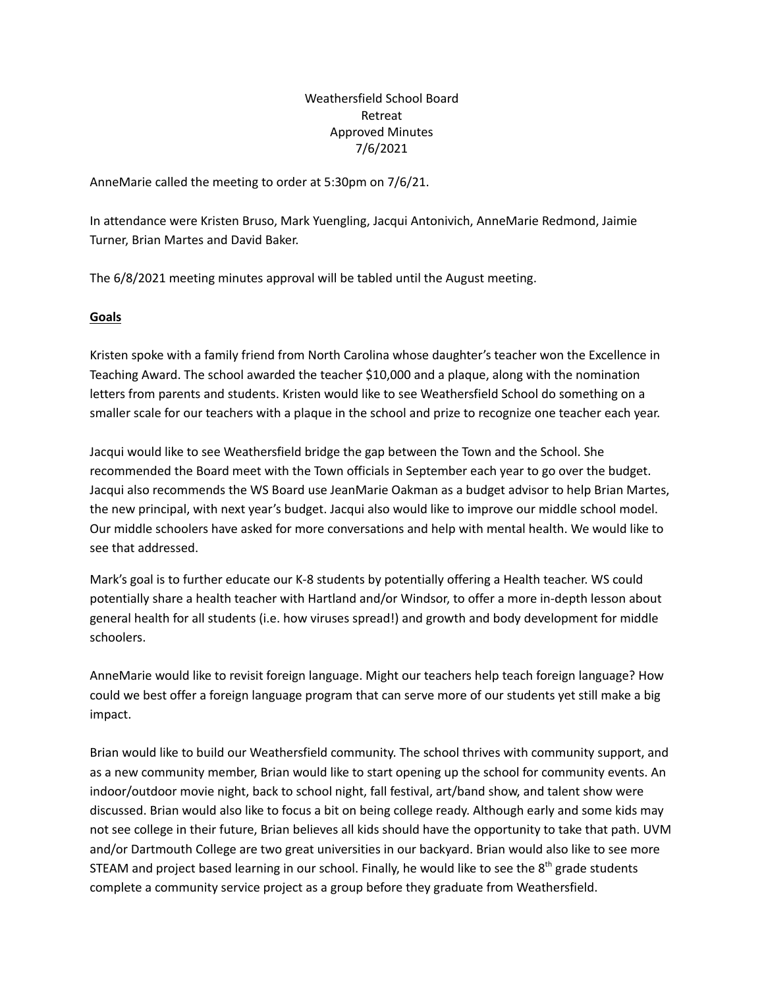Weathersfield School Board Retreat Approved Minutes 7/6/2021

AnneMarie called the meeting to order at 5:30pm on 7/6/21.

In attendance were Kristen Bruso, Mark Yuengling, Jacqui Antonivich, AnneMarie Redmond, Jaimie Turner, Brian Martes and David Baker.

The 6/8/2021 meeting minutes approval will be tabled until the August meeting.

## **Goals**

Kristen spoke with a family friend from North Carolina whose daughter's teacher won the Excellence in Teaching Award. The school awarded the teacher \$10,000 and a plaque, along with the nomination letters from parents and students. Kristen would like to see Weathersfield School do something on a smaller scale for our teachers with a plaque in the school and prize to recognize one teacher each year.

Jacqui would like to see Weathersfield bridge the gap between the Town and the School. She recommended the Board meet with the Town officials in September each year to go over the budget. Jacqui also recommends the WS Board use JeanMarie Oakman as a budget advisor to help Brian Martes, the new principal, with next year's budget. Jacqui also would like to improve our middle school model. Our middle schoolers have asked for more conversations and help with mental health. We would like to see that addressed.

Mark's goal is to further educate our K-8 students by potentially offering a Health teacher. WS could potentially share a health teacher with Hartland and/or Windsor, to offer a more in-depth lesson about general health for all students (i.e. how viruses spread!) and growth and body development for middle schoolers.

AnneMarie would like to revisit foreign language. Might our teachers help teach foreign language? How could we best offer a foreign language program that can serve more of our students yet still make a big impact.

Brian would like to build our Weathersfield community. The school thrives with community support, and as a new community member, Brian would like to start opening up the school for community events. An indoor/outdoor movie night, back to school night, fall festival, art/band show, and talent show were discussed. Brian would also like to focus a bit on being college ready. Although early and some kids may not see college in their future, Brian believes all kids should have the opportunity to take that path. UVM and/or Dartmouth College are two great universities in our backyard. Brian would also like to see more STEAM and project based learning in our school. Finally, he would like to see the  $8<sup>th</sup>$  grade students complete a community service project as a group before they graduate from Weathersfield.